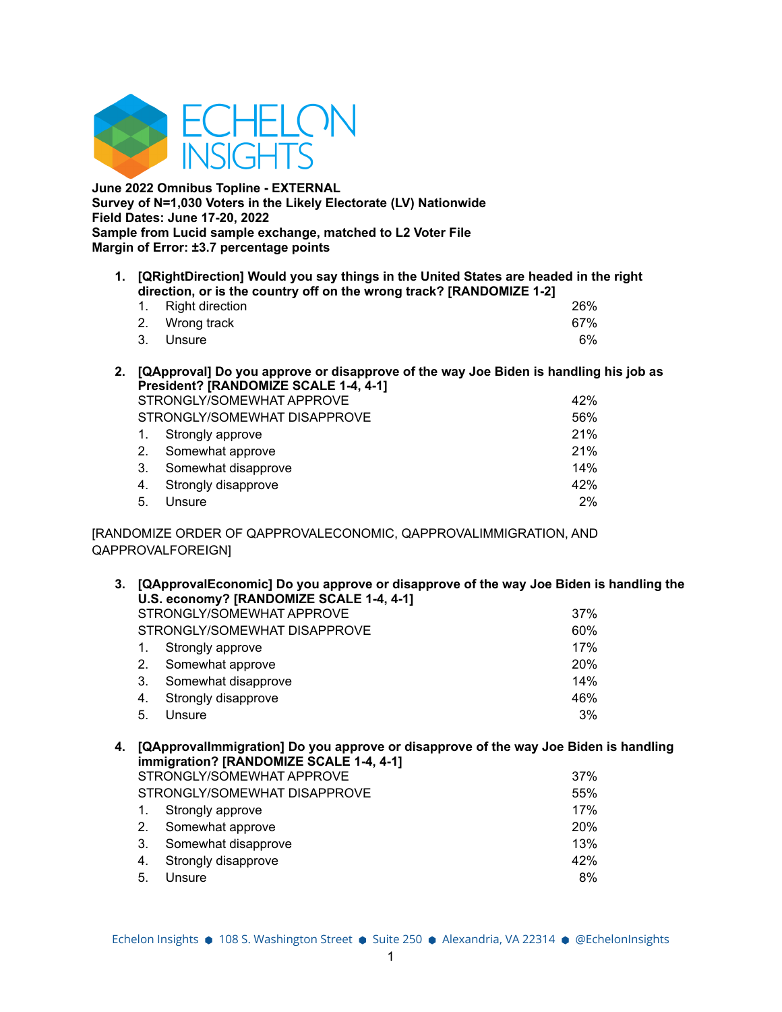

**June 2022 Omnibus Topline - EXTERNAL Survey of N=1,030 Voters in the Likely Electorate (LV) Nationwide Field Dates: June 17-20, 2022 Sample from Lucid sample exchange, matched to L2 Voter File Margin of Error: ±3.7 percentage points**

**1. [QRightDirection] Would you say things in the United States are headed in the right direction, or is the country off on the wrong track? [RANDOMIZE 1-2]**

| 1. Right direction |  |  | 26% |
|--------------------|--|--|-----|
| 2. Wrong track     |  |  | 67% |
| 3. Unsure          |  |  | 6%  |

**2. [QApproval] Do you approve or disapprove of the way Joe Biden is handling his job as President? [RANDOMIZE SCALE 1-4, 4-1]**

|                | STRONGLY/SOMEWHAT APPROVE    | 42%   |
|----------------|------------------------------|-------|
|                | STRONGLY/SOMEWHAT DISAPPROVE | 56%   |
|                | 1. Strongly approve          | 21%   |
|                | 2. Somewhat approve          | 21%   |
| 3.             | Somewhat disapprove          | 14%   |
|                | 4. Strongly disapprove       | 42%   |
| 5 <sub>1</sub> | Unsure                       | $2\%$ |

[RANDOMIZE ORDER OF QAPPROVALECONOMIC, QAPPROVALIMMIGRATION, AND QAPPROVALFOREIGN]

| 3. | [QApprovalEconomic] Do you approve or disapprove of the way Joe Biden is handling the<br>U.S. economy? [RANDOMIZE SCALE 1-4, 4-1] |                              |            |  |  |  |  |
|----|-----------------------------------------------------------------------------------------------------------------------------------|------------------------------|------------|--|--|--|--|
|    |                                                                                                                                   | STRONGLY/SOMEWHAT APPROVE    | 37%        |  |  |  |  |
|    |                                                                                                                                   | STRONGLY/SOMEWHAT DISAPPROVE | 60%        |  |  |  |  |
|    |                                                                                                                                   | Strongly approve             | 17%        |  |  |  |  |
|    | 2.                                                                                                                                | Somewhat approve             | <b>20%</b> |  |  |  |  |
|    | 3.                                                                                                                                | Somewhat disapprove          | 14%        |  |  |  |  |
|    | 4.                                                                                                                                | Strongly disapprove          | 46%        |  |  |  |  |
|    | 5.                                                                                                                                | Unsure                       | 3%         |  |  |  |  |
|    |                                                                                                                                   |                              |            |  |  |  |  |

# **4. [QApprovalImmigration] Do you approve or disapprove of the way Joe Biden is handling immigration? [RANDOMIZE SCALE 1-4, 4-1]** STRONGLY/SOMEWHAT APPROVE **1999** 37% STRONGLY/SOMEWHAT DISAPPROVE **FOUND 1999** 55% 1. Strongly approve 17% 2. Somewhat approve 20% 3. Somewhat disapprove 13% 4. Strongly disapprove 42% 5. Unsure 8%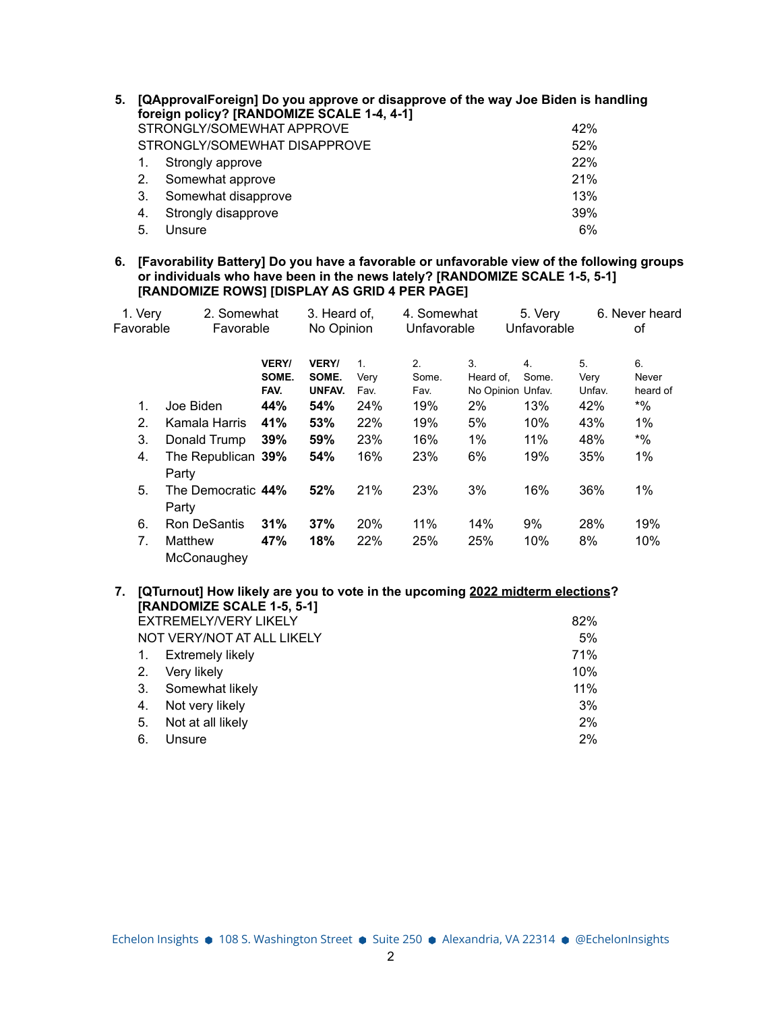| 5. |    | [QApprovalForeign] Do you approve or disapprove of the way Joe Biden is handling<br>foreign policy? [RANDOMIZE SCALE 1-4, 4-1] |     |
|----|----|--------------------------------------------------------------------------------------------------------------------------------|-----|
|    |    | STRONGLY/SOMEWHAT APPROVE                                                                                                      | 42% |
|    |    | STRONGLY/SOMEWHAT DISAPPROVE                                                                                                   | 52% |
|    |    | Strongly approve                                                                                                               | 22% |
|    | 2. | Somewhat approve                                                                                                               | 21% |
|    | 3. | Somewhat disapprove                                                                                                            | 13% |
|    | 4. | Strongly disapprove                                                                                                            | 39% |
|    | 5. | Unsure                                                                                                                         | 6%  |

**6. [Favorability Battery] Do you have a favorable or unfavorable view of the following groups or individuals who have been in the news lately? [RANDOMIZE SCALE 1-5, 5-1] [RANDOMIZE ROWS] [DISPLAY AS GRID 4 PER PAGE]**

| 1. Very        | 2. Somewhat                 |                               | 3. Heard of.                    |                                | 4. Somewhat         |                                      | 5. Verv     |                      | 6. Never heard          |
|----------------|-----------------------------|-------------------------------|---------------------------------|--------------------------------|---------------------|--------------------------------------|-------------|----------------------|-------------------------|
| Favorable      | Favorable                   |                               | No Opinion                      |                                | Unfavorable         |                                      | Unfavorable |                      | οf                      |
|                |                             | <b>VERY/</b><br>SOME.<br>FAV. | <b>VERY/</b><br>SOME.<br>UNFAV. | $\mathbf{1}$ .<br>Very<br>Fav. | 2.<br>Some.<br>Fav. | 3.<br>Heard of,<br>No Opinion Unfav. | 4.<br>Some. | 5.<br>Very<br>Unfav. | 6.<br>Never<br>heard of |
| 1.             | Joe Biden                   | 44%                           | 54%                             | 24%                            | 19%                 | 2%                                   | 13%         | 42%                  | $*$ %                   |
| 2.             | Kamala Harris               | 41%                           | 53%                             | 22%                            | 19%                 | 5%                                   | 10%         | 43%                  | 1%                      |
| 3.             | Donald Trump                | 39%                           | 59%                             | 23%                            | 16%                 | $1\%$                                | 11%         | 48%                  | $*9/0$                  |
| 4.             | The Republican 39%<br>Party |                               | 54%                             | 16%                            | 23%                 | 6%                                   | 19%         | 35%                  | 1%                      |
| 5.             | The Democratic 44%<br>Party |                               | 52%                             | 21%                            | 23%                 | 3%                                   | 16%         | 36%                  | $1\%$                   |
| 6.             | <b>Ron DeSantis</b>         | 31%                           | 37%                             | 20%                            | 11%                 | 14%                                  | 9%          | 28%                  | 19%                     |
| 7 <sub>1</sub> | Matthew<br>McConaughey      | 47%                           | 18%                             | 22%                            | 25%                 | 25%                                  | 10%         | 8%                   | 10%                     |

# **7. [QTurnout] How likely are you to vote in the upcoming 2022 midterm elections? [RANDOMIZE SCALE 1-5, 5-1]** EXTREMELY/VERY LIKELY **EXTREMELY** 82% NOT VERY/NOT AT ALL LIKELY 5% 1. Extremely likely **Extremely** likely 2. Very likely 10% 3. Somewhat likely 11% 4. Not very likely 3%

5. Not at all likely 2% 6. Unsure 2%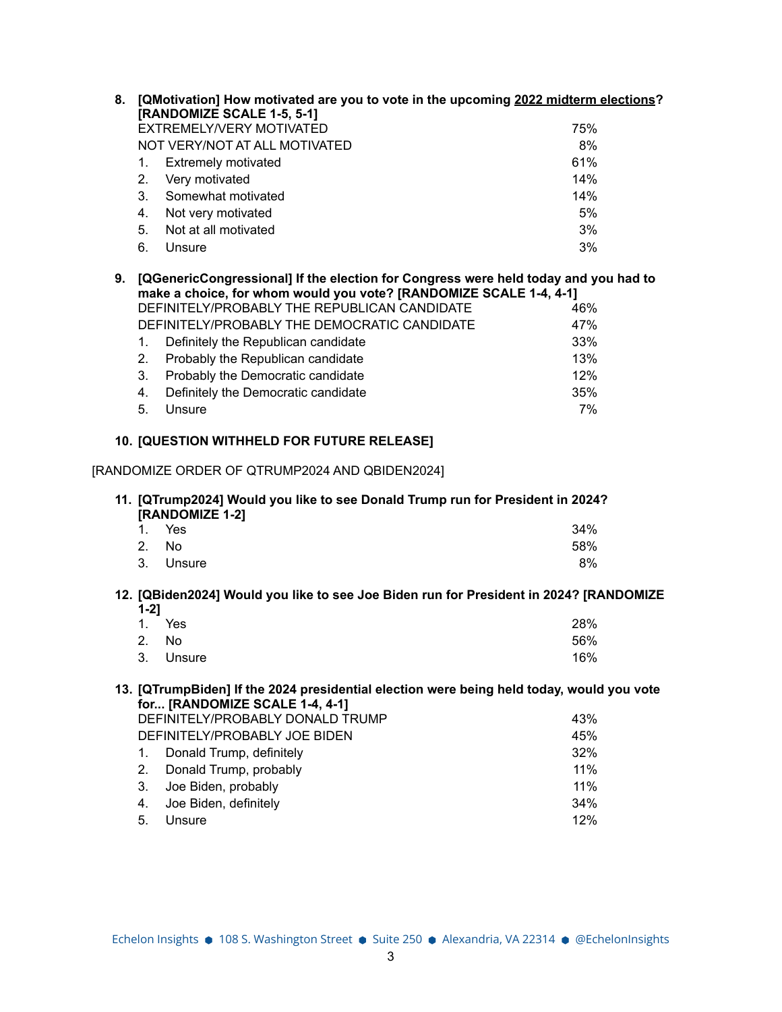| 8. |    | [QMotivation] How motivated are you to vote in the upcoming 2022 midterm elections?<br>[RANDOMIZE SCALE 1-5, 5-1] |     |
|----|----|-------------------------------------------------------------------------------------------------------------------|-----|
|    |    | EXTREMELY/VERY MOTIVATED                                                                                          | 75% |
|    |    | NOT VERY/NOT AT ALL MOTIVATED                                                                                     | 8%  |
|    | 1. | <b>Extremely motivated</b>                                                                                        | 61% |
|    | 2. | Very motivated                                                                                                    | 14% |
|    | 3. | Somewhat motivated                                                                                                | 14% |
|    | 4. | Not very motivated                                                                                                | 5%  |
|    | 5. | Not at all motivated                                                                                              | 3%  |
|    | 6. | Unsure                                                                                                            | 3%  |

| 9. |    | [QGenericCongressional] If the election for Congress were held today and you had to<br>make a choice, for whom would you vote? [RANDOMIZE SCALE 1-4, 4-1] |     |
|----|----|-----------------------------------------------------------------------------------------------------------------------------------------------------------|-----|
|    |    | DEFINITELY/PROBABLY THE REPUBLICAN CANDIDATE                                                                                                              | 46% |
|    |    | DEFINITELY/PROBABLY THE DEMOCRATIC CANDIDATE                                                                                                              | 47% |
|    |    | Definitely the Republican candidate                                                                                                                       | 33% |
|    | 2. | Probably the Republican candidate                                                                                                                         | 13% |
|    | 3. | Probably the Democratic candidate                                                                                                                         | 12% |
|    | 4. | Definitely the Democratic candidate                                                                                                                       | 35% |
|    | 5. | Unsure                                                                                                                                                    | 7%  |

# **10. [QUESTION WITHHELD FOR FUTURE RELEASE]**

### [RANDOMIZE ORDER OF QTRUMP2024 AND QBIDEN2024]

#### **11. [QTrump2024] Would you like to see Donald Trump run for President in 2024? [RANDOMIZE 1-2]**

|       | 1. Yes    | 34% |
|-------|-----------|-----|
| 2. No |           | 58% |
|       | 3. Unsure | 8%  |

#### **12. [QBiden2024] Would you like to see Joe Biden run for President in 2024? [RANDOMIZE 1-2]**

|       | 1. Yes    | 28% |
|-------|-----------|-----|
| 2. No |           | 56% |
|       | 3. Unsure | 16% |

#### **13. [QTrumpBiden] If the 2024 presidential election were being held today, would you vote for... [RANDOMIZE SCALE 1-4, 4-1]**

| DEFINITELY/PROBABLY DONALD TRUMP |                               |     |
|----------------------------------|-------------------------------|-----|
|                                  | DEFINITELY/PROBABLY JOE BIDEN | 45% |
|                                  | 1. Donald Trump, definitely   | 32% |
|                                  | 2. Donald Trump, probably     | 11% |
|                                  | 3. Joe Biden, probably        | 11% |
|                                  | 4. Joe Biden, definitely      | 34% |
| 5.                               | Unsure                        | 12% |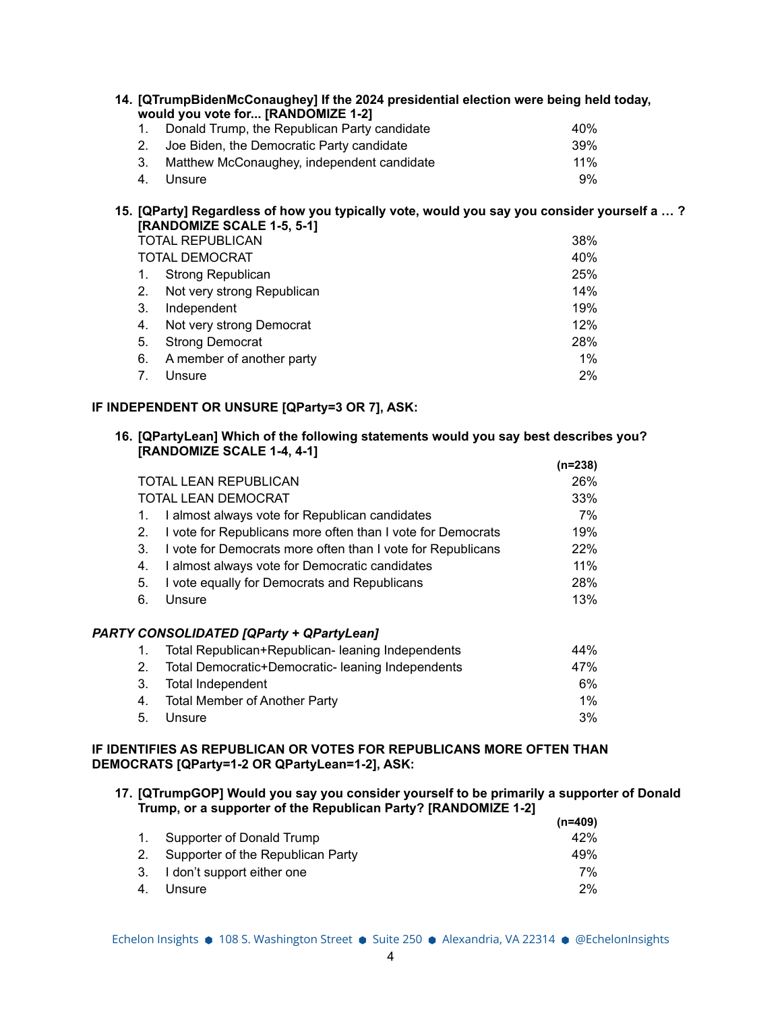|    | 14. [QTrumpBidenMcConaughey] If the 2024 presidential election were being held today,<br>would you vote for [RANDOMIZE 1-2] |     |
|----|-----------------------------------------------------------------------------------------------------------------------------|-----|
|    | Donald Trump, the Republican Party candidate                                                                                | 40% |
| 2. | Joe Biden, the Democratic Party candidate                                                                                   | 39% |
| 3. | Matthew McConaughey, independent candidate                                                                                  | 11% |
| 4. | Unsure                                                                                                                      | 9%  |

### **15. [QParty] Regardless of how you typically vote, would you say you consider yourself a … ? [RANDOMIZE SCALE 1-5, 5-1]**

|    | <b>TOTAL REPUBLICAN</b>    | 38% |
|----|----------------------------|-----|
|    | <b>TOTAL DEMOCRAT</b>      | 40% |
| 1. | <b>Strong Republican</b>   | 25% |
| 2. | Not very strong Republican | 14% |
| 3. | Independent                | 19% |
| 4. | Not very strong Democrat   | 12% |
| 5. | <b>Strong Democrat</b>     | 28% |
| 6. | A member of another party  | 1%  |
|    | Unsure                     | 2%  |

# **IF INDEPENDENT OR UNSURE [QParty=3 OR 7], ASK:**

#### **16. [QPartyLean] Which of the following statements would you say best describes you? [RANDOMIZE SCALE 1-4, 4-1]**  $(1, 2, 3)$

|    |                                                             | (n=238) |
|----|-------------------------------------------------------------|---------|
|    | <b>TOTAL LEAN REPUBLICAN</b>                                | 26%     |
|    | TOTAL LEAN DEMOCRAT                                         | 33%     |
| 1. | I almost always vote for Republican candidates              | 7%      |
| 2. | I vote for Republicans more often than I vote for Democrats | 19%     |
| 3. | I vote for Democrats more often than I vote for Republicans | 22%     |
| 4. | I almost always vote for Democratic candidates              | 11%     |
| 5. | I vote equally for Democrats and Republicans                | 28%     |
| 6. | Unsure                                                      | 13%     |
|    | <b>PARTY CONSOLIDATED [QParty + QPartyLean]</b>             |         |
| 1. | Total Republican+Republican- leaning Independents           | 44%     |
| 2. | Total Democratic+Democratic- leaning Independents           | 47%     |
| 3. | Total Independent                                           | 6%      |
| 4. | <b>Total Member of Another Party</b>                        | $1\%$   |
| 5. | Unsure                                                      | 3%      |

### **IF IDENTIFIES AS REPUBLICAN OR VOTES FOR REPUBLICANS MORE OFTEN THAN DEMOCRATS [QParty=1-2 OR QPartyLean=1-2], ASK:**

#### **17. [QTrumpGOP] Would you say you consider yourself to be primarily a supporter of Donald Trump, or a supporter of the Republican Party? [RANDOMIZE 1-2]**

|    |                                      | (n=409) |
|----|--------------------------------------|---------|
|    | 1. Supporter of Donald Trump         | 42%     |
|    | 2. Supporter of the Republican Party | 49%     |
|    | 3. I don't support either one        | 7%      |
| 4. | Unsure                               | $2\%$   |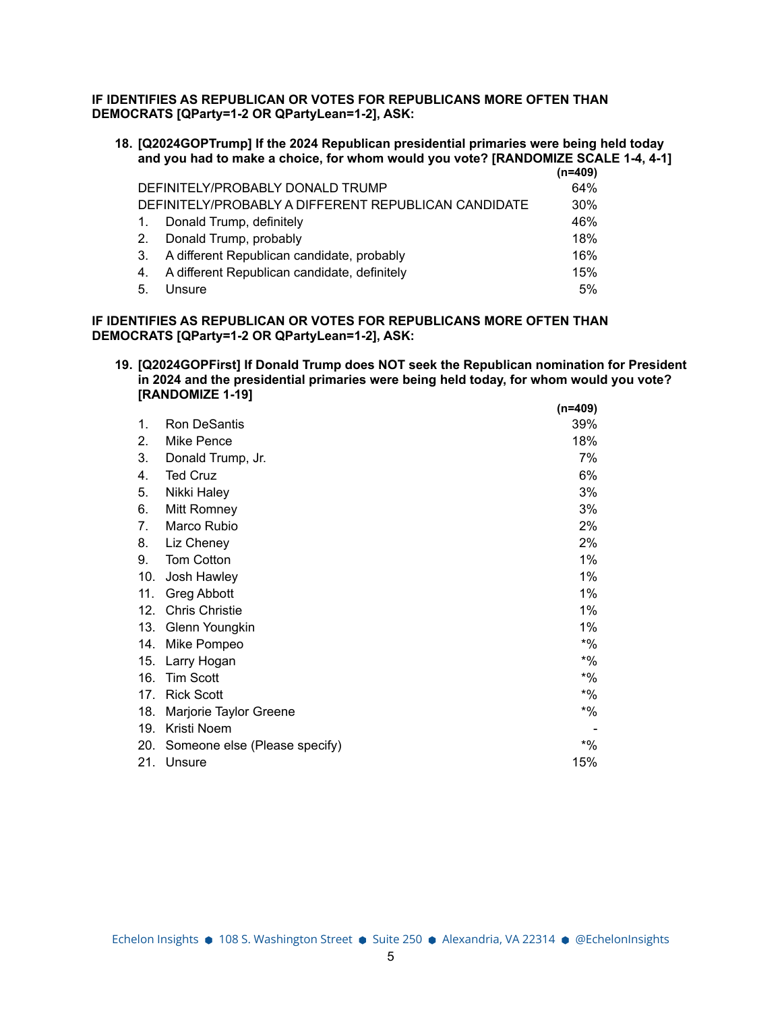**IF IDENTIFIES AS REPUBLICAN OR VOTES FOR REPUBLICANS MORE OFTEN THAN DEMOCRATS [QParty=1-2 OR QPartyLean=1-2], ASK:**

**18. [Q2024GOPTrump] If the 2024 Republican presidential primaries were being held today and you had to make a choice, for whom would you vote? [RANDOMIZE SCALE 1-4, 4-1]**

|                |                                                      | (n=409) |
|----------------|------------------------------------------------------|---------|
|                | DEFINITELY/PROBABLY DONALD TRUMP                     | 64%     |
|                | DEFINITELY/PROBABLY A DIFFERENT REPUBLICAN CANDIDATE | 30%     |
| $\mathbf{1}$ . | Donald Trump, definitely                             | 46%     |
| 2.             | Donald Trump, probably                               | 18%     |
| -3.            | A different Republican candidate, probably           | 16%     |
| 4.             | A different Republican candidate, definitely         | 15%     |
| -5.            | Unsure                                               | 5%      |

#### **IF IDENTIFIES AS REPUBLICAN OR VOTES FOR REPUBLICANS MORE OFTEN THAN DEMOCRATS [QParty=1-2 OR QPartyLean=1-2], ASK:**

**19. [Q2024GOPFirst] If Donald Trump does NOT seek the Republican nomination for President in 2024 and the presidential primaries were being held today, for whom would you vote? [RANDOMIZE 1-19] (n=409)**

|     |                               | (n=409) |
|-----|-------------------------------|---------|
| 1.  | Ron DeSantis                  | 39%     |
| 2.  | Mike Pence                    | 18%     |
| 3.  | Donald Trump, Jr.             | 7%      |
| 4.  | <b>Ted Cruz</b>               | 6%      |
| 5.  | Nikki Haley                   | 3%      |
| 6.  | Mitt Romney                   | 3%      |
| 7.  | Marco Rubio                   | 2%      |
| 8.  | Liz Cheney                    | 2%      |
| 9.  | Tom Cotton                    | $1\%$   |
| 10. | Josh Hawley                   | 1%      |
| 11. | <b>Greg Abbott</b>            | 1%      |
| 12. | <b>Chris Christie</b>         | 1%      |
| 13. | Glenn Youngkin                | $1\%$   |
| 14. | Mike Pompeo                   | $*9/6$  |
| 15. | Larry Hogan                   | $*9/6$  |
| 16. | <b>Tim Scott</b>              | $*9/6$  |
| 17. | <b>Rick Scott</b>             | $*9/6$  |
| 18. | Marjorie Taylor Greene        | $*9/6$  |
| 19. | Kristi Noem                   |         |
| 20. | Someone else (Please specify) | $*$ %   |
| 21. | Unsure                        | 15%     |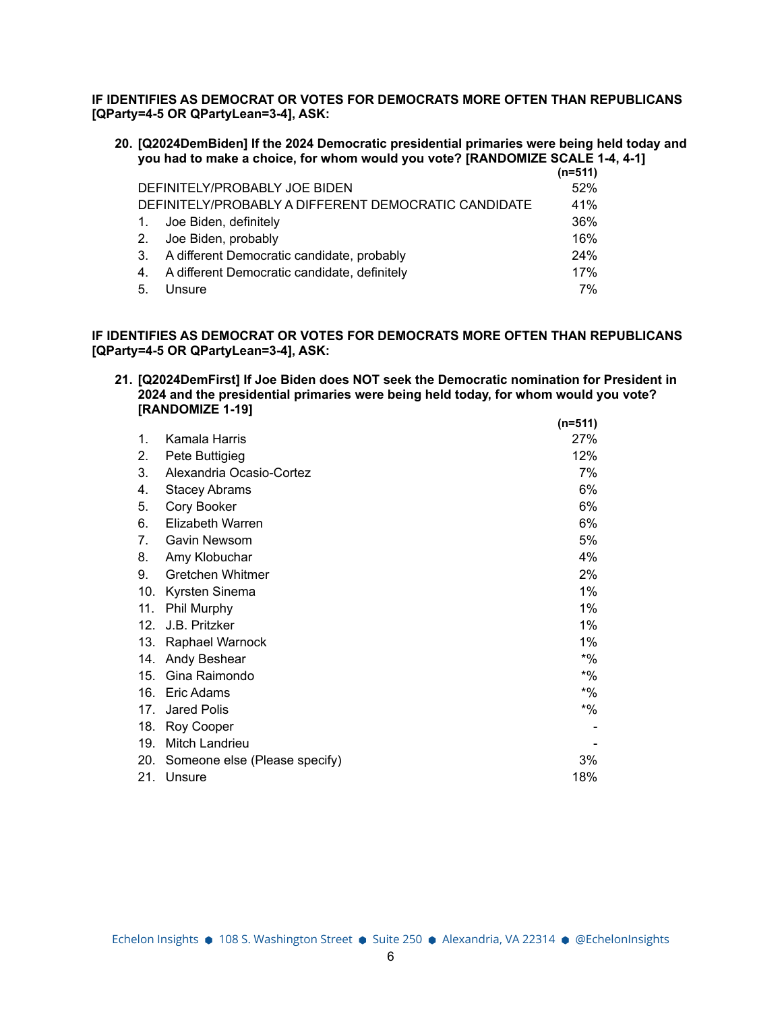**IF IDENTIFIES AS DEMOCRAT OR VOTES FOR DEMOCRATS MORE OFTEN THAN REPUBLICANS [QParty=4-5 OR QPartyLean=3-4], ASK:**

**20. [Q2024DemBiden] If the 2024 Democratic presidential primaries were being held today and you had to make a choice, for whom would you vote? [RANDOMIZE SCALE 1-4, 4-1]**

|                |                                                      | $(n=511)$ |
|----------------|------------------------------------------------------|-----------|
|                | DEFINITELY/PROBABLY JOE BIDEN                        | 52%       |
|                | DEFINITELY/PROBABLY A DIFFERENT DEMOCRATIC CANDIDATE | 41%       |
| $\mathbf{1}$ . | Joe Biden, definitely                                | 36%       |
| 2.             | Joe Biden, probably                                  | 16%       |
| 3.             | A different Democratic candidate, probably           | 24%       |
| 4.             | A different Democratic candidate, definitely         | 17%       |
| 5.             | Unsure                                               | 7%        |

**IF IDENTIFIES AS DEMOCRAT OR VOTES FOR DEMOCRATS MORE OFTEN THAN REPUBLICANS [QParty=4-5 OR QPartyLean=3-4], ASK:**

**21. [Q2024DemFirst] If Joe Biden does NOT seek the Democratic nomination for President in 2024 and the presidential primaries were being held today, for whom would you vote? [RANDOMIZE 1-19]**

|     |                               | $(n=511)$ |
|-----|-------------------------------|-----------|
| 1.  | Kamala Harris                 | 27%       |
| 2.  | Pete Buttigieg                | 12%       |
| 3.  | Alexandria Ocasio-Cortez      | 7%        |
| 4.  | <b>Stacey Abrams</b>          | 6%        |
| 5.  | Cory Booker                   | 6%        |
| 6.  | Elizabeth Warren              | 6%        |
| 7.  | Gavin Newsom                  | 5%        |
| 8.  | Amy Klobuchar                 | 4%        |
| 9.  | Gretchen Whitmer              | $2\%$     |
| 10. | Kyrsten Sinema                | 1%        |
| 11. | Phil Murphy                   | 1%        |
| 12. | J.B. Pritzker                 | 1%        |
| 13. | Raphael Warnock               | 1%        |
| 14. | Andy Beshear                  | $*9/0$    |
| 15. | Gina Raimondo                 | $*9/6$    |
| 16. | Eric Adams                    | $*9/6$    |
| 17. | Jared Polis                   | $*9/6$    |
| 18. | Roy Cooper                    |           |
| 19. | Mitch Landrieu                |           |
| 20. | Someone else (Please specify) | 3%        |
| 21. | Unsure                        | 18%       |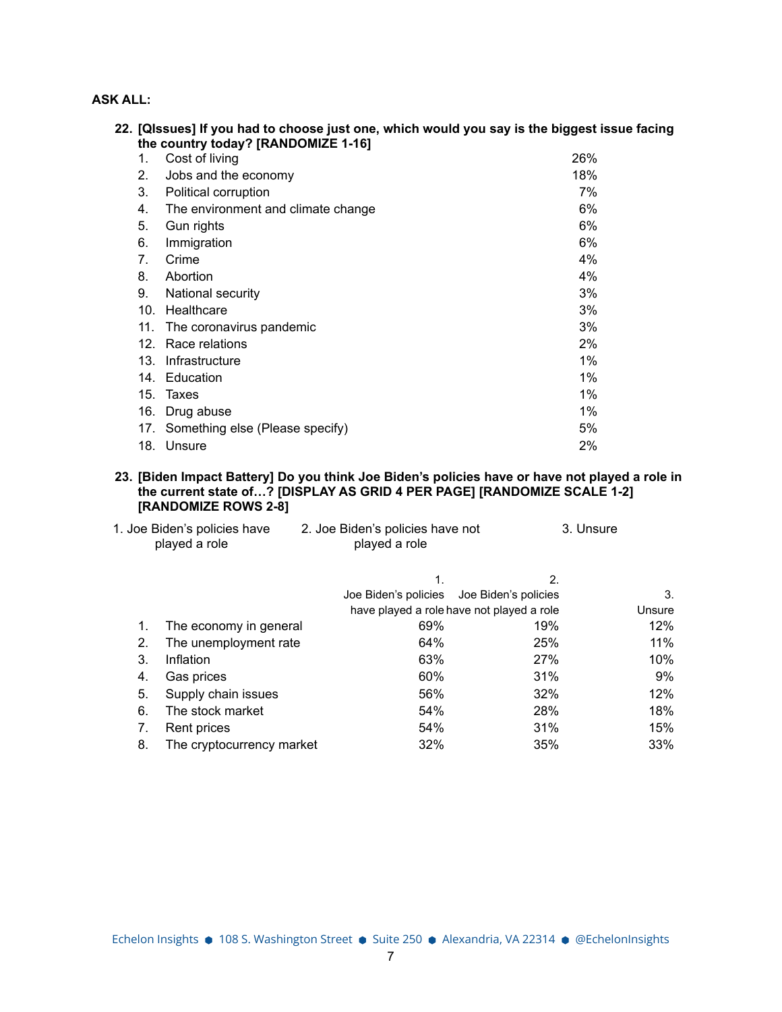## **ASK ALL:**

| 22. [Qlssues] If you had to choose just one, which would you say is the biggest issue facing<br>the country today? [RANDOMIZE 1-16] |     |                                    |       |
|-------------------------------------------------------------------------------------------------------------------------------------|-----|------------------------------------|-------|
|                                                                                                                                     | 1.  | Cost of living                     | 26%   |
|                                                                                                                                     | 2.  | Jobs and the economy               | 18%   |
|                                                                                                                                     | 3.  | Political corruption               | 7%    |
|                                                                                                                                     | 4.  | The environment and climate change | 6%    |
|                                                                                                                                     | 5.  | Gun rights                         | 6%    |
|                                                                                                                                     | 6.  | Immigration                        | 6%    |
|                                                                                                                                     | 7.  | Crime                              | 4%    |
|                                                                                                                                     | 8.  | Abortion                           | 4%    |
|                                                                                                                                     | 9.  | National security                  | 3%    |
|                                                                                                                                     | 10. | Healthcare                         | 3%    |
|                                                                                                                                     | 11. | The coronavirus pandemic           | 3%    |
|                                                                                                                                     | 12. | Race relations                     | 2%    |
|                                                                                                                                     | 13. | Infrastructure                     | $1\%$ |
|                                                                                                                                     |     | 14. Education                      | $1\%$ |
|                                                                                                                                     | 15. | Taxes                              | $1\%$ |
|                                                                                                                                     | 16. | Drug abuse                         | $1\%$ |
|                                                                                                                                     | 17. | Something else (Please specify)    | 5%    |
|                                                                                                                                     |     | 18. Unsure                         | 2%    |

#### **23. [Biden Impact Battery] Do you think Joe Biden's policies have or have not played a role in the current state of…? [DISPLAY AS GRID 4 PER PAGE] [RANDOMIZE SCALE 1-2] [RANDOMIZE ROWS 2-8]**

|    | 1. Joe Biden's policies have<br>played a role | 2. Joe Biden's policies have not<br>played a role |                                           | 3. Unsure |
|----|-----------------------------------------------|---------------------------------------------------|-------------------------------------------|-----------|
|    |                                               | 1.                                                | 2.                                        |           |
|    |                                               | Joe Biden's policies Joe Biden's policies         |                                           | 3.        |
|    |                                               |                                                   | have played a role have not played a role | Unsure    |
| 1. | The economy in general                        | 69%                                               | 19%                                       | 12%       |
| 2. | The unemployment rate                         | 64%                                               | 25%                                       | $11\%$    |
| 3. | Inflation                                     | 63%                                               | 27%                                       | 10%       |
| 4. | Gas prices                                    | 60%                                               | 31%                                       | 9%        |
| 5. | Supply chain issues                           | 56%                                               | 32%                                       | 12%       |
| 6. | The stock market                              | 54%                                               | 28%                                       | 18%       |
| 7. | Rent prices                                   | 54%                                               | 31%                                       | 15%       |
| 8. | The cryptocurrency market                     | 32%                                               | 35%                                       | 33%       |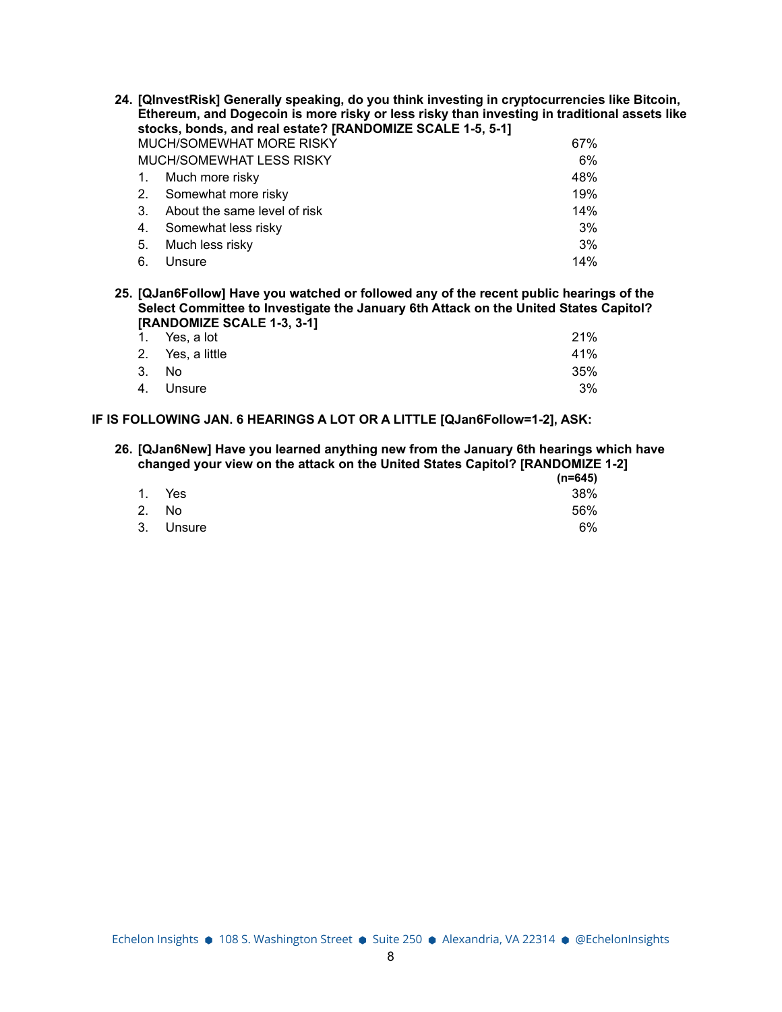|             | 24. [QInvestRisk] Generally speaking, do you think investing in cryptocurrencies like Bitcoin,<br>Ethereum, and Dogecoin is more risky or less risky than investing in traditional assets like<br>stocks, bonds, and real estate? [RANDOMIZE SCALE 1-5, 5-1] |     |
|-------------|--------------------------------------------------------------------------------------------------------------------------------------------------------------------------------------------------------------------------------------------------------------|-----|
|             | MUCH/SOMEWHAT MORE RISKY                                                                                                                                                                                                                                     | 67% |
|             | MUCH/SOMEWHAT LESS RISKY                                                                                                                                                                                                                                     | 6%  |
|             | Much more risky                                                                                                                                                                                                                                              | 48% |
| $2_{\cdot}$ | Somewhat more risky                                                                                                                                                                                                                                          | 19% |
| 3.          | About the same level of risk                                                                                                                                                                                                                                 | 14% |
| 4.          | Somewhat less risky                                                                                                                                                                                                                                          | 3%  |
| 5.          | Much less risky                                                                                                                                                                                                                                              | 3%  |
| 6.          | Unsure                                                                                                                                                                                                                                                       | 14% |

**25. [QJan6Follow] Have you watched or followed any of the recent public hearings of the Select Committee to Investigate the January 6th Attack on the United States Capitol? [RANDOMIZE SCALE 1-3, 3-1]**

| 1. Yes, a lot    | 21% |
|------------------|-----|
| 2. Yes, a little | 41% |
| 3. No.           | 35% |
| 4. Unsure        | 3%  |

**IF IS FOLLOWING JAN. 6 HEARINGS A LOT OR A LITTLE [QJan6Follow=1-2], ASK:**

#### **26. [QJan6New] Have you learned anything new from the January 6th hearings which have changed your view on the attack on the United States Capitol? [RANDOMIZE 1-2]**

|           | $(n=645)$ |
|-----------|-----------|
| 1. Yes    | 38%       |
| 2. No     | 56%       |
| 3. Unsure | 6%        |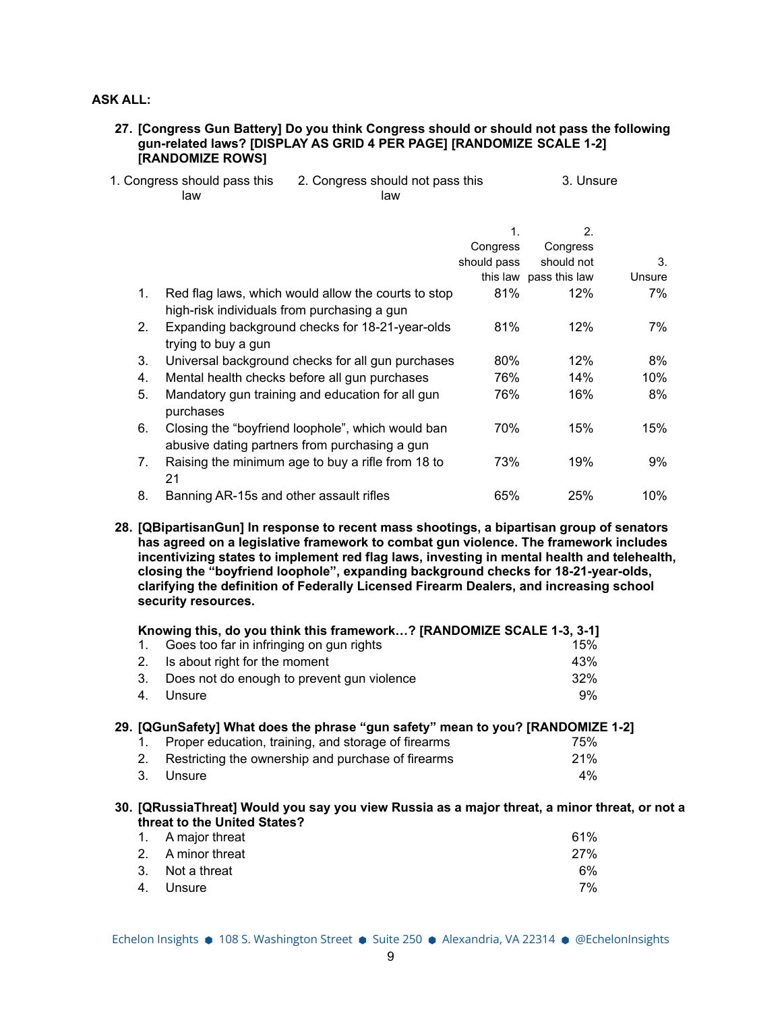## **ASK ALL:**

#### **27. [Congress Gun Battery] Do you think Congress should or should not pass the following gun-related laws? [DISPLAY AS GRID 4 PER PAGE] [RANDOMIZE SCALE 1-2] [RANDOMIZE ROWS]**

| 1. Congress should pass this | 2. Congress should not pass this | 3. Unsure |
|------------------------------|----------------------------------|-----------|
| law                          | law                              |           |

|    |                                                                                                    | $\mathbf{1}$ . | 2.                     |        |
|----|----------------------------------------------------------------------------------------------------|----------------|------------------------|--------|
|    |                                                                                                    | Congress       | Congress               |        |
|    |                                                                                                    | should pass    | should not             | 3.     |
|    |                                                                                                    |                | this law pass this law | Unsure |
| 1. | Red flag laws, which would allow the courts to stop<br>high-risk individuals from purchasing a gun | 81%            | 12%                    | 7%     |
| 2. | Expanding background checks for 18-21-year-olds<br>trying to buy a gun                             | 81%            | 12%                    | 7%     |
| 3. | Universal background checks for all gun purchases                                                  | 80%            | 12%                    | 8%     |
| 4. | Mental health checks before all gun purchases                                                      | 76%            | 14%                    | 10%    |
| 5. | Mandatory gun training and education for all gun<br>purchases                                      | 76%            | 16%                    | 8%     |
| 6. | Closing the "boyfriend loophole", which would ban<br>abusive dating partners from purchasing a gun | 70%            | 15%                    | 15%    |
| 7. | Raising the minimum age to buy a rifle from 18 to<br>21                                            | 73%            | 19%                    | 9%     |
| 8. | Banning AR-15s and other assault rifles                                                            | 65%            | 25%                    | 10%    |

**28. [QBipartisanGun] In response to recent mass shootings, a bipartisan group of senators has agreed on a legislative framework to combat gun violence. The framework includes incentivizing states to implement red flag laws, investing in mental health and telehealth, closing the "boyfriend loophole", expanding background checks for 18-21-year-olds, clarifying the definition of Federally Licensed Firearm Dealers, and increasing school security resources.**

|                | Knowing this, do you think this framework? [RANDOMIZE SCALE 1-3, 3-1]                                                            |     |
|----------------|----------------------------------------------------------------------------------------------------------------------------------|-----|
| 1.             | Goes too far in infringing on gun rights                                                                                         | 15% |
| $2_{-}$        | Is about right for the moment                                                                                                    | 43% |
| 3.             | Does not do enough to prevent gun violence                                                                                       | 32% |
| 4.             | Unsure                                                                                                                           | 9%  |
|                | 29. [QGunSafety] What does the phrase "gun safety" mean to you? [RANDOMIZE 1-2]                                                  |     |
|                | Proper education, training, and storage of firearms                                                                              | 75% |
| 2 <sub>1</sub> | Restricting the ownership and purchase of firearms                                                                               | 21% |
| 3.             | Unsure                                                                                                                           | 4%  |
|                | 30. [QRussiaThreat] Would you say you view Russia as a major threat, a minor threat, or not a<br><b>States?</b> hailnited States |     |

| threat to the United States? |                   |     |
|------------------------------|-------------------|-----|
|                              | 1. A major threat | 61% |
|                              | 2. A minor threat | 27% |
|                              | 2 Not a throat    | 60/ |

| 3. NOT a threat | O% |
|-----------------|----|
| 4. Unsure       | 7% |

Echelon Insights ● 108 S. Washington Street ● Suite 250 ● Alexandria, VA 22314 ● @EchelonInsights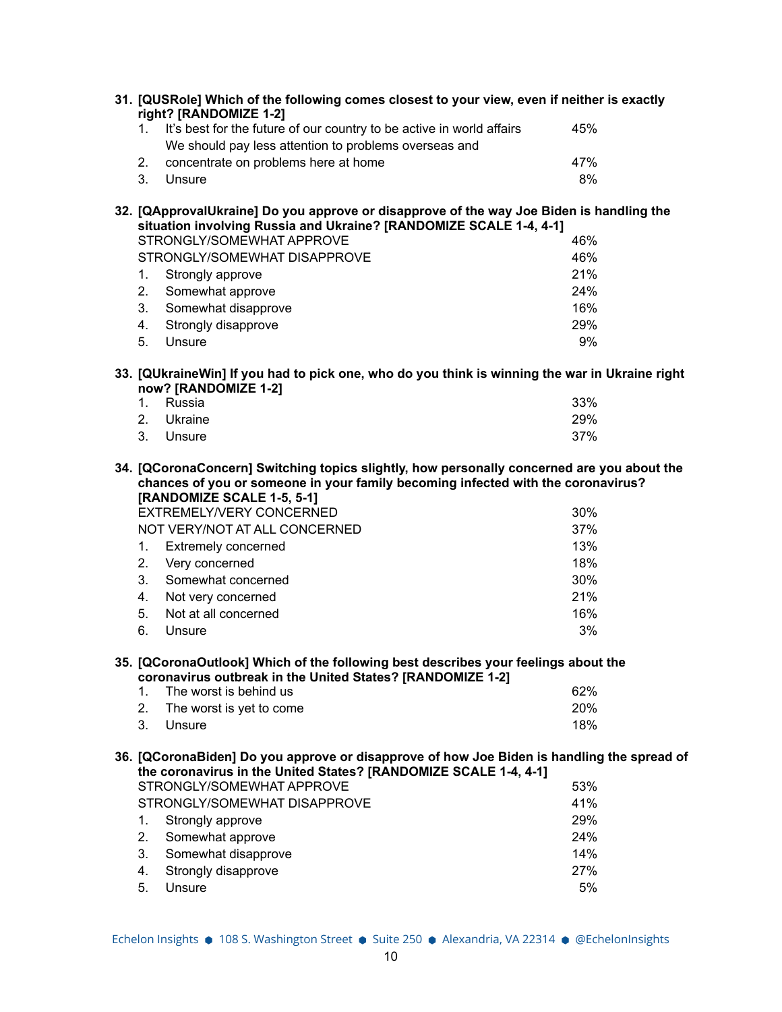|                                  | 31. [QUSRole] Which of the following comes closest to your view, even if neither is exactly<br>right? [RANDOMIZE 1-2]                                                                                                                                                                                     |                                                     |
|----------------------------------|-----------------------------------------------------------------------------------------------------------------------------------------------------------------------------------------------------------------------------------------------------------------------------------------------------------|-----------------------------------------------------|
| 1.                               | It's best for the future of our country to be active in world affairs                                                                                                                                                                                                                                     | 45%                                                 |
|                                  | We should pay less attention to problems overseas and                                                                                                                                                                                                                                                     |                                                     |
| 2.                               | concentrate on problems here at home                                                                                                                                                                                                                                                                      | 47%                                                 |
| 3.                               | Unsure                                                                                                                                                                                                                                                                                                    | 8%                                                  |
|                                  | 32. [QApprovalUkraine] Do you approve or disapprove of the way Joe Biden is handling the<br>situation involving Russia and Ukraine? [RANDOMIZE SCALE 1-4, 4-1]                                                                                                                                            |                                                     |
|                                  | STRONGLY/SOMEWHAT APPROVE                                                                                                                                                                                                                                                                                 | 46%                                                 |
|                                  | STRONGLY/SOMEWHAT DISAPPROVE                                                                                                                                                                                                                                                                              | 46%                                                 |
| 1.                               | Strongly approve                                                                                                                                                                                                                                                                                          | 21%                                                 |
| 2.                               | Somewhat approve                                                                                                                                                                                                                                                                                          | 24%<br>16%                                          |
| 3.                               | Somewhat disapprove                                                                                                                                                                                                                                                                                       |                                                     |
| 4.                               | Strongly disapprove                                                                                                                                                                                                                                                                                       | 29%                                                 |
| 5.                               | Unsure                                                                                                                                                                                                                                                                                                    | 9%                                                  |
|                                  | 33. [QUkraineWin] If you had to pick one, who do you think is winning the war in Ukraine right<br>now? [RANDOMIZE 1-2]                                                                                                                                                                                    |                                                     |
| 1.                               | Russia                                                                                                                                                                                                                                                                                                    | 33%                                                 |
| 2.                               | Ukraine                                                                                                                                                                                                                                                                                                   | 29%                                                 |
| 3.                               | Unsure                                                                                                                                                                                                                                                                                                    | 37%                                                 |
| 1.<br>2.<br>3.<br>4.<br>5.<br>6. | chances of you or someone in your family becoming infected with the coronavirus?<br>[RANDOMIZE SCALE 1-5, 5-1]<br>EXTREMELY/VERY CONCERNED<br>NOT VERY/NOT AT ALL CONCERNED<br><b>Extremely concerned</b><br>Very concerned<br>Somewhat concerned<br>Not very concerned<br>Not at all concerned<br>Unsure | 30%<br>37%<br>13%<br>18%<br>30%<br>21%<br>16%<br>3% |
|                                  | 35. [QCoronaOutlook] Which of the following best describes your feelings about the<br>coronavirus outbreak in the United States? [RANDOMIZE 1-2]                                                                                                                                                          |                                                     |
| 1.                               | The worst is behind us                                                                                                                                                                                                                                                                                    | 62%                                                 |
| 2.                               | The worst is yet to come                                                                                                                                                                                                                                                                                  | 20%                                                 |
| 3.                               | Unsure                                                                                                                                                                                                                                                                                                    | 18%                                                 |
|                                  | 36. [QCoronaBiden] Do you approve or disapprove of how Joe Biden is handling the spread of<br>the coronavirus in the United States? [RANDOMIZE SCALE 1-4, 4-1]                                                                                                                                            |                                                     |
|                                  | STRONGLY/SOMEWHAT APPROVE                                                                                                                                                                                                                                                                                 | 53%                                                 |
|                                  | STRONGLY/SOMEWHAT DISAPPROVE                                                                                                                                                                                                                                                                              | 41%                                                 |
| 1.                               | Strongly approve                                                                                                                                                                                                                                                                                          | 29%                                                 |
| 2.                               | Somewhat approve                                                                                                                                                                                                                                                                                          | 24%                                                 |
| 3.                               | Somewhat disapprove                                                                                                                                                                                                                                                                                       | 14%                                                 |
| 4.                               | Strongly disapprove                                                                                                                                                                                                                                                                                       | 27%                                                 |
| 5.                               | Unsure                                                                                                                                                                                                                                                                                                    | 5%                                                  |

Echelon Insights ● 108 S. Washington Street ● Suite 250 ● Alexandria, VA 22314 ● @EchelonInsights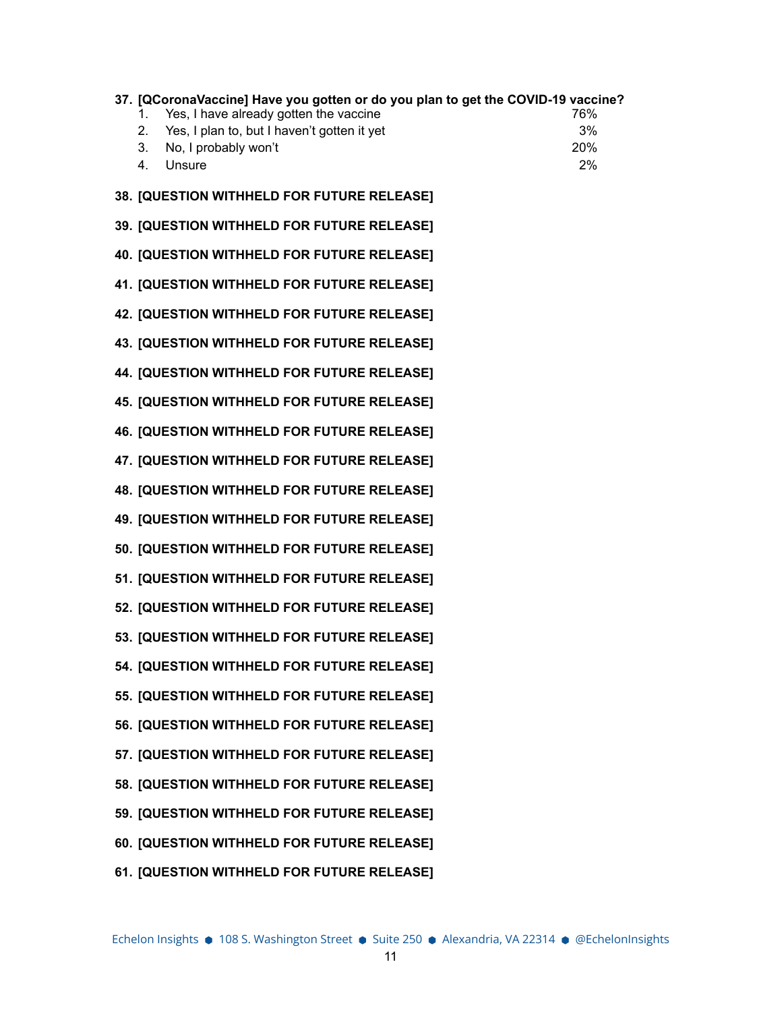|    | 37. [QCoronaVaccine] Have you gotten or do you plan to get the COVID-19 vaccine? |     |
|----|----------------------------------------------------------------------------------|-----|
|    | Yes, I have already gotten the vaccine                                           | 76% |
| 2. | Yes, I plan to, but I haven't gotten it yet                                      | 3%  |
| 3. | No, I probably won't                                                             | 20% |
| 4. | Unsure                                                                           | 2%  |
|    | <b>38. [QUESTION WITHHELD FOR FUTURE RELEASE]</b>                                |     |

**39. [QUESTION WITHHELD FOR FUTURE RELEASE] 40. [QUESTION WITHHELD FOR FUTURE RELEASE] 41. [QUESTION WITHHELD FOR FUTURE RELEASE] 42. [QUESTION WITHHELD FOR FUTURE RELEASE] 43. [QUESTION WITHHELD FOR FUTURE RELEASE] 44. [QUESTION WITHHELD FOR FUTURE RELEASE] 45. [QUESTION WITHHELD FOR FUTURE RELEASE] 46. [QUESTION WITHHELD FOR FUTURE RELEASE] 47. [QUESTION WITHHELD FOR FUTURE RELEASE] 48. [QUESTION WITHHELD FOR FUTURE RELEASE] 49. [QUESTION WITHHELD FOR FUTURE RELEASE] 50. [QUESTION WITHHELD FOR FUTURE RELEASE] 51. [QUESTION WITHHELD FOR FUTURE RELEASE] 52. [QUESTION WITHHELD FOR FUTURE RELEASE] 53. [QUESTION WITHHELD FOR FUTURE RELEASE] 54. [QUESTION WITHHELD FOR FUTURE RELEASE] 55. [QUESTION WITHHELD FOR FUTURE RELEASE]**

- **56. [QUESTION WITHHELD FOR FUTURE RELEASE]**
- **57. [QUESTION WITHHELD FOR FUTURE RELEASE]**
- **58. [QUESTION WITHHELD FOR FUTURE RELEASE]**
- **59. [QUESTION WITHHELD FOR FUTURE RELEASE]**
- **60. [QUESTION WITHHELD FOR FUTURE RELEASE]**
- **61. [QUESTION WITHHELD FOR FUTURE RELEASE]**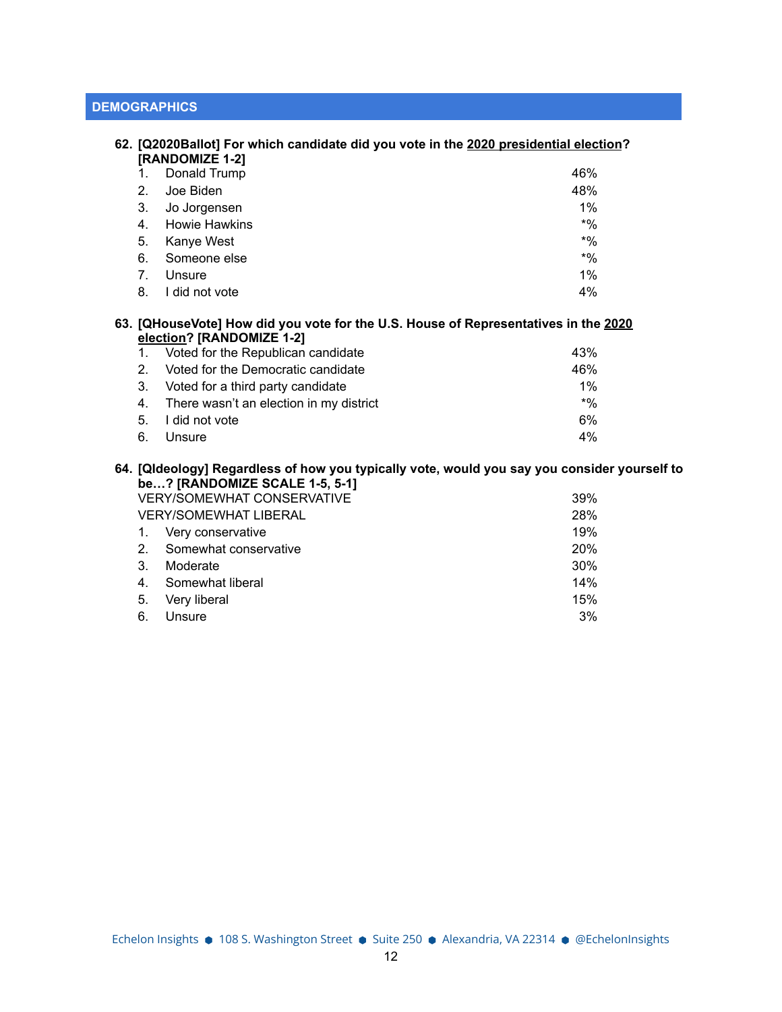# **DEMOGRAPHICS**

|                                | 62. [Q2020Ballot] For which candidate did you vote in the 2020 presidential election?<br>[RANDOMIZE 1-2]         |        |
|--------------------------------|------------------------------------------------------------------------------------------------------------------|--------|
| 1.                             | Donald Trump                                                                                                     | 46%    |
| 2 <sub>1</sub>                 | Joe Biden                                                                                                        | 48%    |
| 3.                             | Jo Jorgensen                                                                                                     | $1\%$  |
| 4.                             | Howie Hawkins                                                                                                    | $*$ %  |
| 5.                             | Kanye West                                                                                                       | $*9/0$ |
| 6.                             | Someone else                                                                                                     | $*$ %  |
| $7_{\scriptscriptstyle{\sim}}$ | Unsure                                                                                                           | $1\%$  |
| 8.                             | I did not vote                                                                                                   | 4%     |
|                                | 63. [QHouseVote] How did you vote for the U.S. House of Representatives in the 2020<br>election? [RANDOMIZE 1-2] |        |
| 1.                             | Voted for the Republican candidate                                                                               | 43%    |
| 2 <sub>1</sub>                 | Voted for the Democratic candidate                                                                               | 46%    |
| 3.                             | Voted for a third party candidate                                                                                | $1\%$  |
| 4.                             | There wasn't an election in my district                                                                          | $*$ %  |
| 5.                             | I did not vote                                                                                                   | 6%     |

6. Unsure 4%

### **64. [QIdeology] Regardless of how you typically vote, would you say you consider yourself to be…? [RANDOMIZE SCALE 1-5, 5-1]** VERY/SOMEWHAT CONSERVATIVE **1999** 39%

| <b>VERY/SOMEWHAT LIBERAL</b> |                          | 28%        |
|------------------------------|--------------------------|------------|
|                              | 1. Very conservative     | 19%        |
|                              | 2. Somewhat conservative | <b>20%</b> |
| 3 <sub>1</sub>               | Moderate                 | 30%        |
|                              | 4. Somewhat liberal      | 14%        |
|                              | 5. Very liberal          | 15%        |
| 6.                           | Unsure                   | 3%         |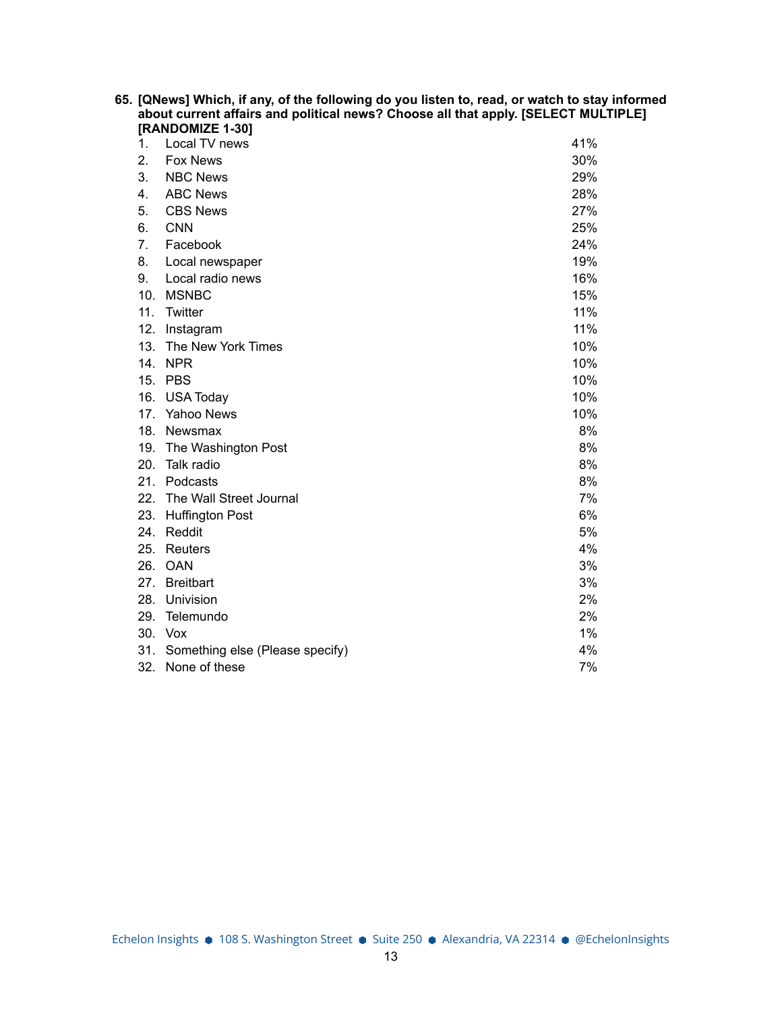| 65. [QNews] Which, if any, of the following do you listen to, read, or watch to stay informed<br>about current affairs and political news? Choose all that apply. [SELECT MULTIPLE]<br>[RANDOMIZE 1-30] |                                     |     |  |
|---------------------------------------------------------------------------------------------------------------------------------------------------------------------------------------------------------|-------------------------------------|-----|--|
| 1.                                                                                                                                                                                                      | Local TV news                       | 41% |  |
| 2.                                                                                                                                                                                                      | <b>Fox News</b>                     | 30% |  |
| 3.                                                                                                                                                                                                      | <b>NBC News</b>                     | 29% |  |
| 4.                                                                                                                                                                                                      | <b>ABC News</b>                     | 28% |  |
| 5.                                                                                                                                                                                                      | <b>CBS News</b>                     | 27% |  |
| 6.                                                                                                                                                                                                      | <b>CNN</b>                          | 25% |  |
| 7.                                                                                                                                                                                                      | Facebook                            | 24% |  |
| 8.                                                                                                                                                                                                      | Local newspaper                     | 19% |  |
| 9.                                                                                                                                                                                                      | Local radio news                    | 16% |  |
| 10.                                                                                                                                                                                                     | <b>MSNBC</b>                        | 15% |  |
| 11.                                                                                                                                                                                                     | Twitter                             | 11% |  |
|                                                                                                                                                                                                         | 12. Instagram                       | 11% |  |
|                                                                                                                                                                                                         | 13. The New York Times              | 10% |  |
|                                                                                                                                                                                                         | 14. NPR                             | 10% |  |
|                                                                                                                                                                                                         | 15. PBS                             | 10% |  |
|                                                                                                                                                                                                         | 16. USA Today                       | 10% |  |
|                                                                                                                                                                                                         | 17. Yahoo News                      | 10% |  |
|                                                                                                                                                                                                         | 18. Newsmax                         | 8%  |  |
|                                                                                                                                                                                                         | 19. The Washington Post             | 8%  |  |
|                                                                                                                                                                                                         | 20. Talk radio                      | 8%  |  |
|                                                                                                                                                                                                         | 21. Podcasts                        | 8%  |  |
| 22.                                                                                                                                                                                                     | The Wall Street Journal             | 7%  |  |
| 23.                                                                                                                                                                                                     | <b>Huffington Post</b>              | 6%  |  |
|                                                                                                                                                                                                         | 24. Reddit                          | 5%  |  |
|                                                                                                                                                                                                         | 25. Reuters                         | 4%  |  |
|                                                                                                                                                                                                         | 26. OAN                             | 3%  |  |
| 27.                                                                                                                                                                                                     | <b>Breitbart</b>                    | 3%  |  |
|                                                                                                                                                                                                         | 28. Univision                       | 2%  |  |
|                                                                                                                                                                                                         | 29. Telemundo                       | 2%  |  |
|                                                                                                                                                                                                         | 30. Vox                             | 1%  |  |
|                                                                                                                                                                                                         | 31. Something else (Please specify) | 4%  |  |
| 32.                                                                                                                                                                                                     | None of these                       | 7%  |  |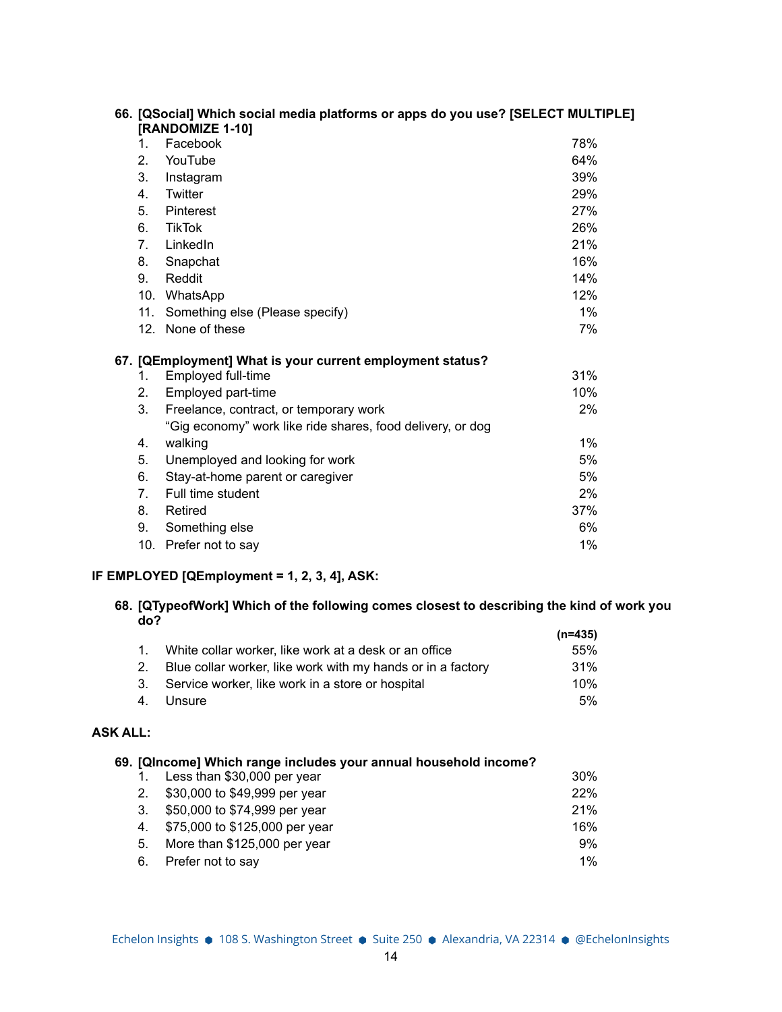|                                | 66. [QSocial] Which social media platforms or apps do you use? [SELECT MULTIPLE]<br>[RANDOMIZE 1-10] |     |
|--------------------------------|------------------------------------------------------------------------------------------------------|-----|
| $\mathbf{1}$ .                 | Facebook                                                                                             | 78% |
| 2.                             | YouTube                                                                                              | 64% |
| 3.                             | Instagram                                                                                            | 39% |
| 4.                             | Twitter                                                                                              | 29% |
| 5.                             | Pinterest                                                                                            | 27% |
| 6.                             | <b>TikTok</b>                                                                                        | 26% |
| $7_{\scriptscriptstyle{\sim}}$ | LinkedIn                                                                                             | 21% |
| 8.                             | Snapchat                                                                                             | 16% |
| 9.                             | Reddit                                                                                               | 14% |
|                                | 10. WhatsApp                                                                                         | 12% |
| 11.                            | Something else (Please specify)                                                                      | 1%  |
| 12 <sup>2</sup>                | None of these                                                                                        | 7%  |
|                                | 67. [QEmployment] What is your current employment status?                                            |     |
| 1.                             | Employed full-time                                                                                   | 31% |
| 2.                             | Employed part-time                                                                                   | 10% |
| 3.                             | Freelance, contract, or temporary work                                                               | 2%  |
|                                | "Gig economy" work like ride shares, food delivery, or dog                                           |     |
| 4.                             | walking                                                                                              | 1%  |
| 5.                             | Unemployed and looking for work                                                                      | 5%  |
| 6.                             | Stay-at-home parent or caregiver                                                                     | 5%  |
| 7.                             | Full time student                                                                                    | 2%  |
| 8.                             | Retired                                                                                              | 37% |
| 9.                             | Something else                                                                                       | 6%  |
|                                | 10. Prefer not to say                                                                                | 1%  |

# **IF EMPLOYED [QEmployment = 1, 2, 3, 4], ASK:**

#### **68. [QTypeofWork] Which of the following comes closest to describing the kind of work you do? (n=435)**

|    |                                                             | (n=435) |
|----|-------------------------------------------------------------|---------|
|    | White collar worker, like work at a desk or an office       | 55%     |
| 2. | Blue collar worker, like work with my hands or in a factory | 31%     |
| 3. | Service worker, like work in a store or hospital            | 10%     |
| 4. | Unsure                                                      | 5%      |

### **ASK ALL:**

|                | 69. [QIncome] Which range includes your annual household income? |       |
|----------------|------------------------------------------------------------------|-------|
|                | Less than \$30,000 per year                                      | 30%   |
| 2 <sub>1</sub> | \$30,000 to \$49,999 per year                                    | 22%   |
| 3.             | \$50,000 to \$74,999 per year                                    | 21%   |
| 4.             | \$75,000 to \$125,000 per year                                   | 16%   |
| 5.             | More than \$125,000 per year                                     | 9%    |
| 6.             | Prefer not to say                                                | $1\%$ |
|                |                                                                  |       |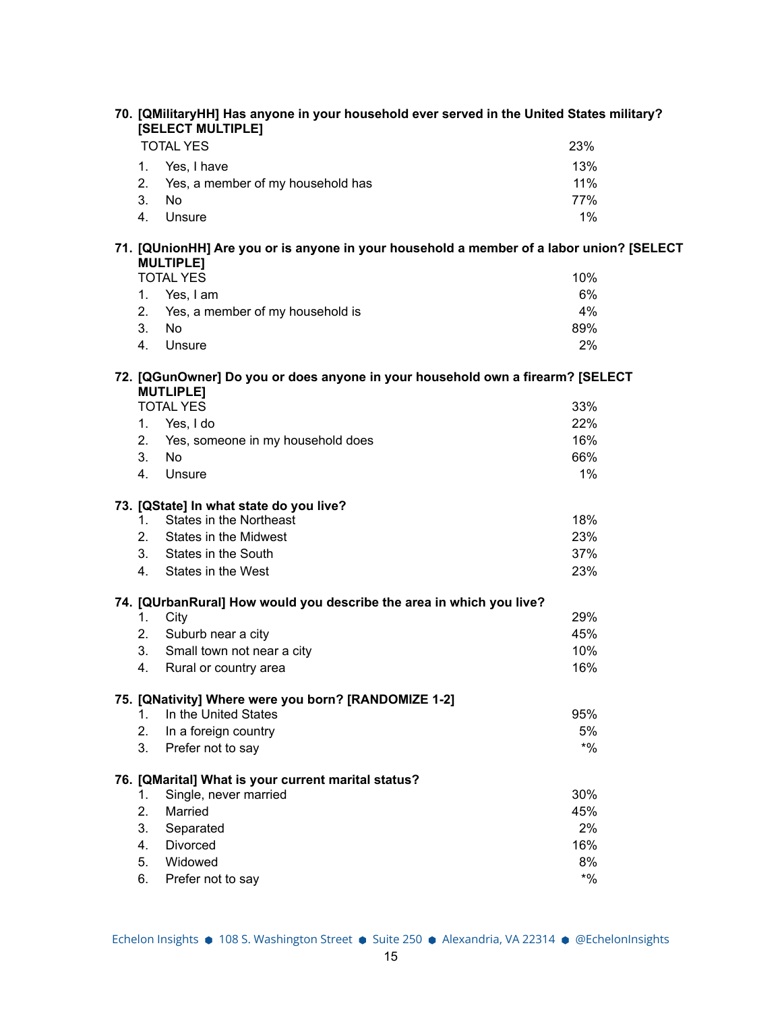| 70. [QMilitaryHH] Has anyone in your household ever served in the United States military?<br>[SELECT MULTIPLE] |                                                                                                              |        |  |  |
|----------------------------------------------------------------------------------------------------------------|--------------------------------------------------------------------------------------------------------------|--------|--|--|
|                                                                                                                | <b>TOTAL YES</b>                                                                                             | 23%    |  |  |
| 1.                                                                                                             | Yes, I have                                                                                                  | 13%    |  |  |
| 2.                                                                                                             | Yes, a member of my household has                                                                            | 11%    |  |  |
| 3.                                                                                                             | <b>No</b>                                                                                                    | 77%    |  |  |
| 4.                                                                                                             | Unsure                                                                                                       | 1%     |  |  |
|                                                                                                                | 71. [QUnionHH] Are you or is anyone in your household a member of a labor union? [SELECT<br><b>MULTIPLE]</b> |        |  |  |
|                                                                                                                | <b>TOTAL YES</b>                                                                                             | 10%    |  |  |
|                                                                                                                | 1. Yes, I am                                                                                                 | 6%     |  |  |
| 2.                                                                                                             | Yes, a member of my household is                                                                             | 4%     |  |  |
| 3.                                                                                                             | <b>No</b>                                                                                                    | 89%    |  |  |
| 4.                                                                                                             | Unsure                                                                                                       | 2%     |  |  |
|                                                                                                                | 72. [QGunOwner] Do you or does anyone in your household own a firearm? [SELECT<br><b>MUTLIPLE]</b>           |        |  |  |
|                                                                                                                | <b>TOTAL YES</b>                                                                                             | 33%    |  |  |
| 1.                                                                                                             | Yes, I do                                                                                                    | 22%    |  |  |
| 2.                                                                                                             | Yes, someone in my household does                                                                            | 16%    |  |  |
| 3.                                                                                                             | No                                                                                                           | 66%    |  |  |
| 4.                                                                                                             | Unsure                                                                                                       | 1%     |  |  |
|                                                                                                                | 73. [QState] In what state do you live?                                                                      |        |  |  |
| 1.                                                                                                             | States in the Northeast                                                                                      | 18%    |  |  |
| 2.                                                                                                             | States in the Midwest                                                                                        | 23%    |  |  |
|                                                                                                                | 3.<br>States in the South                                                                                    | 37%    |  |  |
| 4.                                                                                                             | States in the West                                                                                           | 23%    |  |  |
|                                                                                                                | 74. [QUrbanRural] How would you describe the area in which you live?                                         |        |  |  |
| 1.                                                                                                             | City                                                                                                         | 29%    |  |  |
| 2.                                                                                                             | Suburb near a city                                                                                           | 45%    |  |  |
| 3.                                                                                                             | Small town not near a city                                                                                   | 10%    |  |  |
| 4.                                                                                                             | Rural or country area                                                                                        | 16%    |  |  |
|                                                                                                                | 75. [QNativity] Where were you born? [RANDOMIZE 1-2]                                                         |        |  |  |
| 1.                                                                                                             | In the United States                                                                                         | 95%    |  |  |
| 2.                                                                                                             | In a foreign country                                                                                         | 5%     |  |  |
| 3.                                                                                                             | Prefer not to say                                                                                            | $*9/0$ |  |  |
|                                                                                                                | 76. [QMarital] What is your current marital status?                                                          |        |  |  |
| 1.                                                                                                             | Single, never married                                                                                        | 30%    |  |  |
| 2.                                                                                                             | Married                                                                                                      | 45%    |  |  |
| 3.                                                                                                             | Separated                                                                                                    | 2%     |  |  |
| 4.                                                                                                             | Divorced                                                                                                     | 16%    |  |  |
| 5.                                                                                                             | Widowed                                                                                                      | 8%     |  |  |
| 6.                                                                                                             | Prefer not to say                                                                                            | $*9/0$ |  |  |

Echelon Insights ● 108 S. Washington Street ● Suite 250 ● Alexandria, VA 22314 ● @EchelonInsights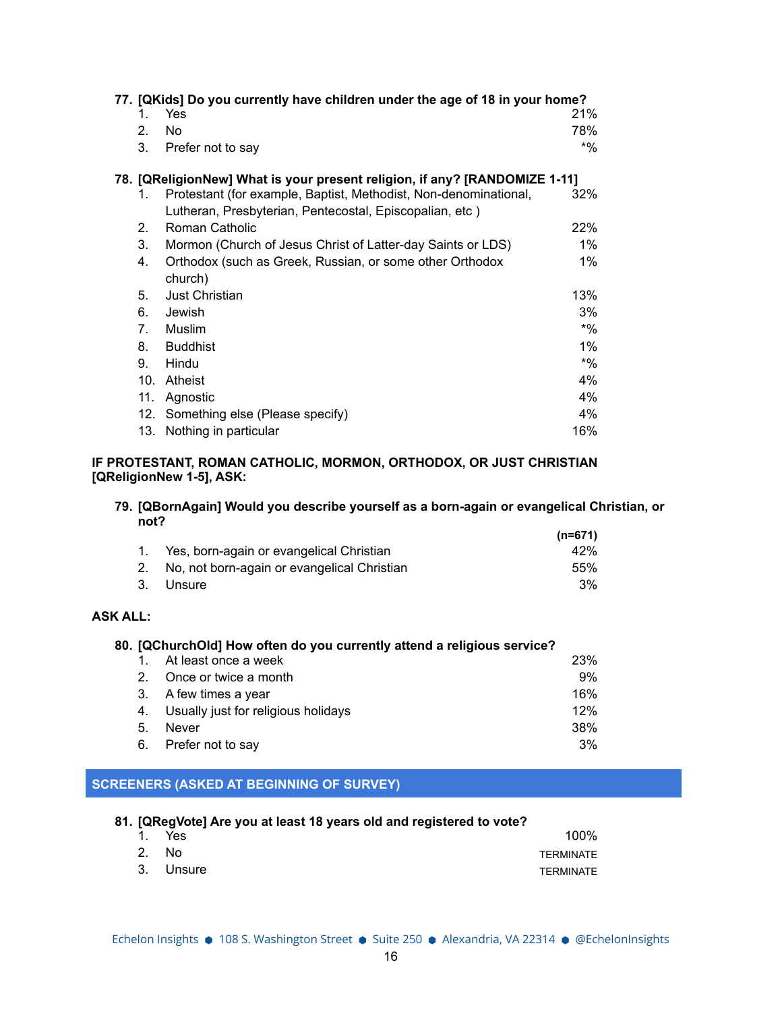| 77. [QKids] Do you currently have children under the age of 18 in your home? |                 |                                                                            |       |
|------------------------------------------------------------------------------|-----------------|----------------------------------------------------------------------------|-------|
|                                                                              | 1.              | Yes                                                                        | 21%   |
|                                                                              | 2.              | <b>No</b>                                                                  | 78%   |
|                                                                              | 3.              | Prefer not to say                                                          | $*$ % |
|                                                                              |                 | 78. [QReligionNew] What is your present religion, if any? [RANDOMIZE 1-11] |       |
|                                                                              | 1.              | Protestant (for example, Baptist, Methodist, Non-denominational,           | 32%   |
|                                                                              |                 | Lutheran, Presbyterian, Pentecostal, Episcopalian, etc)                    |       |
|                                                                              | 2 <sub>1</sub>  | Roman Catholic                                                             | 22%   |
|                                                                              | 3.              | Mormon (Church of Jesus Christ of Latter-day Saints or LDS)                | $1\%$ |
|                                                                              | 4.              | Orthodox (such as Greek, Russian, or some other Orthodox                   | $1\%$ |
|                                                                              |                 | church)                                                                    |       |
|                                                                              | 5.              | Just Christian                                                             | 13%   |
|                                                                              | 6.              | Jewish                                                                     | 3%    |
|                                                                              | 7.              | Muslim                                                                     | $*$ % |
|                                                                              | 8.              | <b>Buddhist</b>                                                            | $1\%$ |
|                                                                              | 9.              | Hindu                                                                      | $*$ % |
|                                                                              | 10 <sub>1</sub> | Atheist                                                                    | $4\%$ |
|                                                                              | 11.             | Agnostic                                                                   | 4%    |
|                                                                              | 12.             | Something else (Please specify)                                            | 4%    |
|                                                                              | 13.             | Nothing in particular                                                      | 16%   |
|                                                                              |                 |                                                                            |       |

### **IF PROTESTANT, ROMAN CATHOLIC, MORMON, ORTHODOX, OR JUST CHRISTIAN [QReligionNew 1-5], ASK:**

#### **79. [QBornAgain] Would you describe yourself as a born-again or evangelical Christian, or not? (n=671)**

|                                                | (n=6/1) |
|------------------------------------------------|---------|
| 1. Yes, born-again or evangelical Christian    | 42%     |
| 2. No, not born-again or evangelical Christian | 55%     |
| 3. Unsure                                      | 3%      |
|                                                |         |

# **ASK ALL:**

| 80. [QChurchOld] How often do you currently attend a religious service? |             |                                     |       |
|-------------------------------------------------------------------------|-------------|-------------------------------------|-------|
|                                                                         |             | At least once a week                | 23%   |
|                                                                         | $2^{\circ}$ | Once or twice a month               | $9\%$ |
|                                                                         | 3.          | A few times a year                  | 16%   |
|                                                                         |             | Usually just for religious holidays | 12%   |
|                                                                         | 5.          | Never                               | 38%   |
|                                                                         | 6.          | Prefer not to say                   | 3%    |

# **SCREENERS (ASKED AT BEGINNING OF SURVEY)**

|        | 81. [QRegVote] Are you at least 18 years old and registered to vote? |                  |
|--------|----------------------------------------------------------------------|------------------|
|        | 1. Yes                                                               | 100%             |
| 2. No. |                                                                      | <b>TFRMINATF</b> |
|        | 3. Unsure                                                            | <b>TFRMINATF</b> |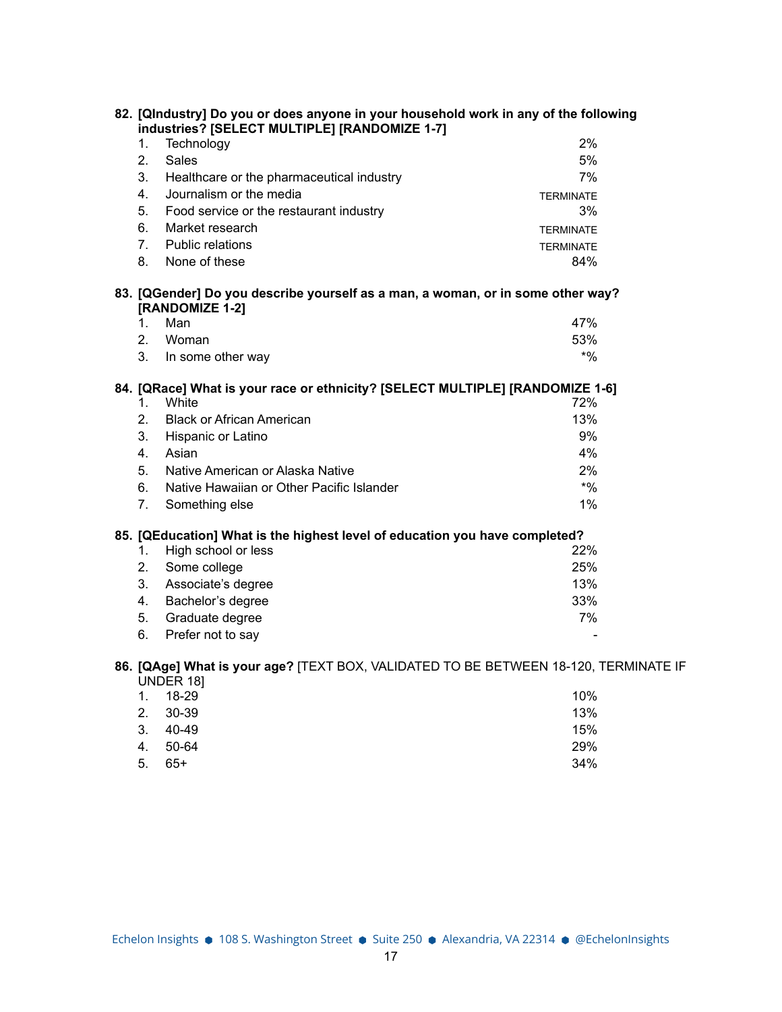|         | 82. [QIndustry] Do you or does anyone in your household work in any of the following<br>industries? [SELECT MULTIPLE] [RANDOMIZE 1-7] |                  |
|---------|---------------------------------------------------------------------------------------------------------------------------------------|------------------|
| 1.      | Technology                                                                                                                            | 2%               |
| 2.      | Sales                                                                                                                                 | 5%               |
| 3.      | Healthcare or the pharmaceutical industry                                                                                             | 7%               |
| 4.      | Journalism or the media                                                                                                               | <b>TERMINATE</b> |
| 5.      | Food service or the restaurant industry                                                                                               | 3%               |
| 6.      | Market research                                                                                                                       | <b>TERMINATE</b> |
| 7.      | <b>Public relations</b>                                                                                                               | <b>TERMINATE</b> |
| 8.      | None of these                                                                                                                         | 84%              |
|         | 83. [QGender] Do you describe yourself as a man, a woman, or in some other way?<br>[RANDOMIZE 1-2]                                    |                  |
| $1_{-}$ | Man                                                                                                                                   | 47%              |
|         | 2. Woman                                                                                                                              | 53%              |
|         | 3. In some other way                                                                                                                  | $*9/6$           |
|         | 84. [QRace] What is your race or ethnicity? [SELECT MULTIPLE] [RANDOMIZE 1-6]                                                         |                  |
| $1_{-}$ | <b>White</b>                                                                                                                          | 72%              |
| $2_{-}$ | <b>Black or African American</b>                                                                                                      | 13%              |
| 3.      | Hispanic or Latino                                                                                                                    | 9%               |
| 4.      | Asian                                                                                                                                 | 4%               |
| 5.      | Native American or Alaska Native                                                                                                      | 2%               |
| 6.      | Native Hawaiian or Other Pacific Islander                                                                                             | $*9/0$           |
| 7.      | Something else                                                                                                                        | 1%               |
|         | 85. [QEducation] What is the highest level of education you have completed?                                                           |                  |
| 1.      | High school or less                                                                                                                   | 22%              |
| 2.      | Some college                                                                                                                          | 25%              |
| 3.      | Associate's degree                                                                                                                    | 13%              |
| 4.      | Bachelor's degree                                                                                                                     | 33%              |
| 5.      | Graduate degree                                                                                                                       | 7%               |
| 6.      | Prefer not to say                                                                                                                     |                  |
|         | 86. [QAge] What is your age? [TEXT BOX, VALIDATED TO BE BETWEEN 18-120, TERMINATE IF<br>UNDER 18]                                     |                  |
| 1.      | 18-29                                                                                                                                 | 10%              |
| 2.      | 30-39                                                                                                                                 | 13%              |

4. 50-64 29% 5. 65+ 34%

3. 40-49 15%